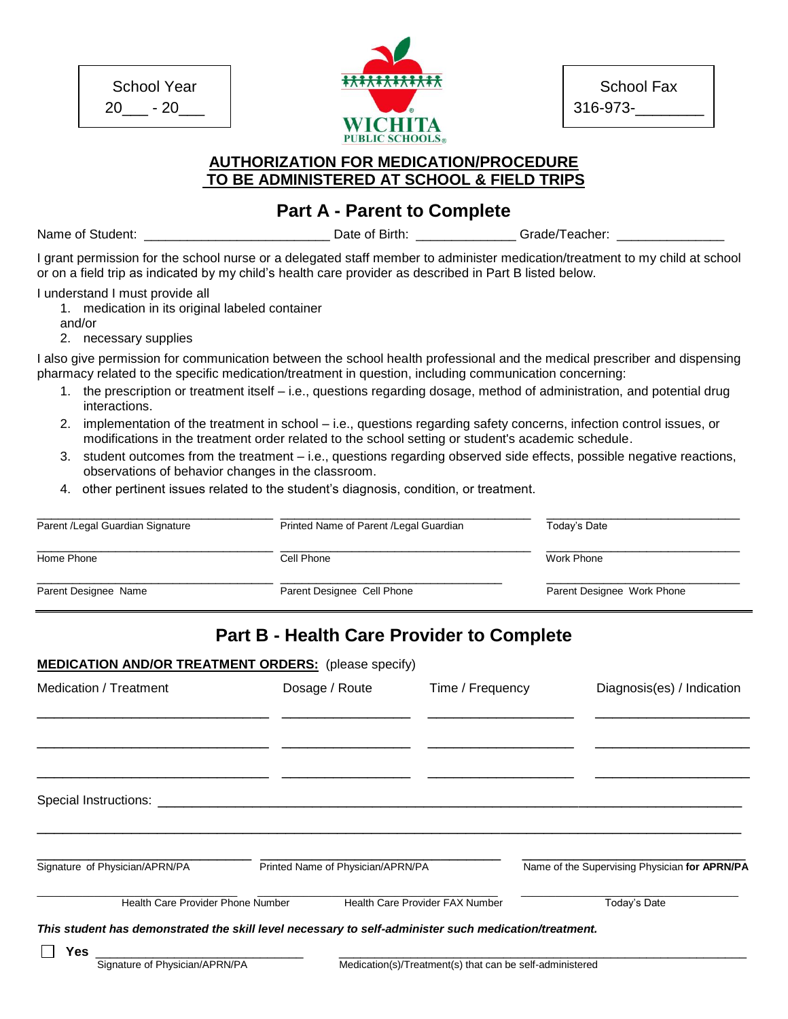School Year 20\_\_\_ - 20\_\_\_



|          | <b>School Fax</b> |
|----------|-------------------|
| 316-973- |                   |

## **AUTHORIZATION FOR MEDICATION/PROCEDURE TO BE ADMINISTERED AT SCHOOL & FIELD TRIPS**

**Part A - Parent to Complete**

Name of Student: \_\_\_\_\_\_\_\_\_\_\_\_\_\_\_\_\_\_\_\_\_\_\_\_\_\_ Date of Birth: \_\_\_\_\_\_\_\_\_\_\_\_\_\_ Grade/Teacher: \_\_\_\_\_\_\_\_\_\_\_\_\_\_\_

I grant permission for the school nurse or a delegated staff member to administer medication/treatment to my child at school or on a field trip as indicated by my child's health care provider as described in Part B listed below.

I understand I must provide all

- 1. medication in its original labeled container
- and/or
- 2. necessary supplies

I also give permission for communication between the school health professional and the medical prescriber and dispensing pharmacy related to the specific medication/treatment in question, including communication concerning:

- 1. the prescription or treatment itself i.e., questions regarding dosage, method of administration, and potential drug interactions.
- 2. implementation of the treatment in school i.e., questions regarding safety concerns, infection control issues, or modifications in the treatment order related to the school setting or student's academic schedule.
- 3. student outcomes from the treatment i.e., questions regarding observed side effects, possible negative reactions, observations of behavior changes in the classroom.
- 4. other pertinent issues related to the student's diagnosis, condition, or treatment.

| Parent /Legal Guardian Signature | Printed Name of Parent / Legal Guardian | Today's Date               |
|----------------------------------|-----------------------------------------|----------------------------|
| Home Phone                       | Cell Phone                              | Work Phone                 |
| Parent Designee Name             | Parent Designee Cell Phone              | Parent Designee Work Phone |

# **Part B - Health Care Provider to Complete**

#### **MEDICATION AND/OR TREATMENT ORDERS:** (please specify)

| Medication / Treatment                                                                                |  | Dosage / Route                    | Time / Frequency                                         |                                               | Diagnosis(es) / Indication |  |
|-------------------------------------------------------------------------------------------------------|--|-----------------------------------|----------------------------------------------------------|-----------------------------------------------|----------------------------|--|
|                                                                                                       |  |                                   |                                                          |                                               |                            |  |
|                                                                                                       |  |                                   |                                                          |                                               |                            |  |
| Special Instructions: ______________                                                                  |  |                                   |                                                          |                                               |                            |  |
|                                                                                                       |  |                                   |                                                          |                                               |                            |  |
| Signature of Physician/APRN/PA                                                                        |  | Printed Name of Physician/APRN/PA |                                                          | Name of the Supervising Physician for APRN/PA |                            |  |
| Health Care Provider Phone Number                                                                     |  |                                   | Health Care Provider FAX Number                          | Today's Date                                  |                            |  |
| This student has demonstrated the skill level necessary to self-administer such medication/treatment. |  |                                   |                                                          |                                               |                            |  |
| Yes.                                                                                                  |  |                                   |                                                          |                                               |                            |  |
| Signature of Physician/APRN/PA                                                                        |  |                                   | Medication(s)/Treatment(s) that can be self-administered |                                               |                            |  |